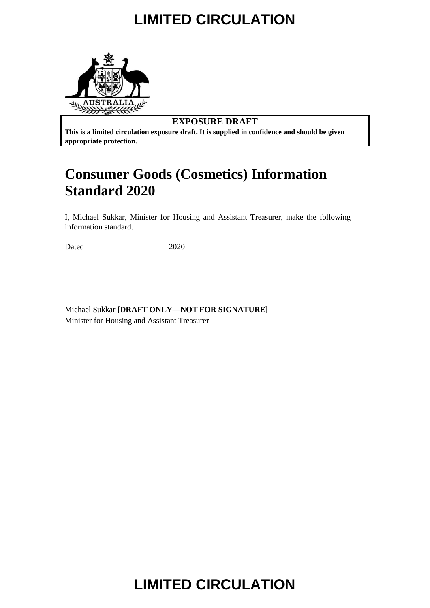

### **EXPOSURE DRAFT**

**This is a limited circulation exposure draft. It is supplied in confidence and should be given appropriate protection.**

## **Consumer Goods (Cosmetics) Information Standard 2020**

I, Michael Sukkar, Minister for Housing and Assistant Treasurer, make the following information standard.

Dated 2020

Michael Sukkar **[DRAFT ONLY—NOT FOR SIGNATURE]** Minister for Housing and Assistant Treasurer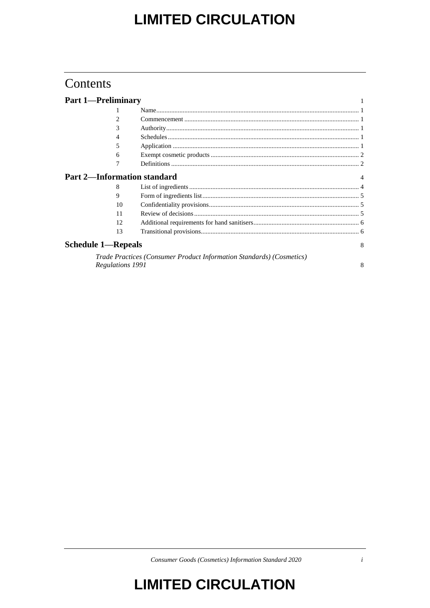## Contents

| <b>Part 1-Preliminary</b> |                                                                      |   |
|---------------------------|----------------------------------------------------------------------|---|
|                           |                                                                      |   |
| 2                         |                                                                      |   |
| 3                         |                                                                      |   |
| 4                         |                                                                      |   |
| 5                         |                                                                      |   |
| 6                         |                                                                      |   |
|                           |                                                                      |   |
|                           | <b>Part 2—Information standard</b>                                   |   |
| 8                         |                                                                      |   |
| 9                         |                                                                      |   |
| 10                        |                                                                      |   |
| 11                        |                                                                      |   |
| 12                        |                                                                      |   |
| 13                        |                                                                      |   |
| <b>Schedule 1-Repeals</b> |                                                                      | 8 |
|                           | Trade Practices (Consumer Product Information Standards) (Cosmetics) |   |
| Regulations 1991          |                                                                      | 8 |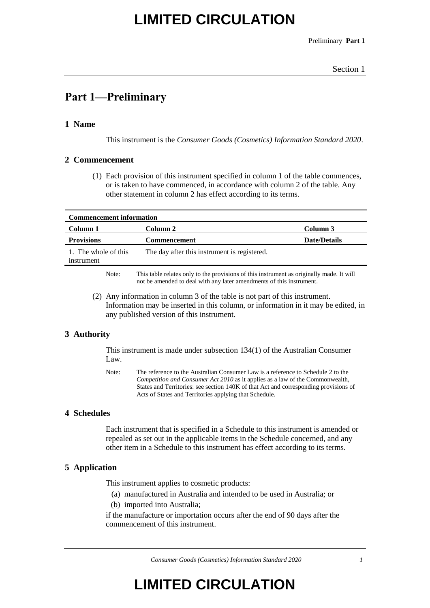Preliminary **Part 1**

### **Part 1—Preliminary**

### **1 Name**

This instrument is the *Consumer Goods (Cosmetics) Information Standard 2020*.

#### **2 Commencement**

(1) Each provision of this instrument specified in column 1 of the table commences, or is taken to have commenced, in accordance with column 2 of the table. Any other statement in column 2 has effect according to its terms.

| <b>Commencement information</b>    |                                                                                                                                                                  |                     |  |  |  |
|------------------------------------|------------------------------------------------------------------------------------------------------------------------------------------------------------------|---------------------|--|--|--|
| Column 1                           | Column 2                                                                                                                                                         | Column 3            |  |  |  |
| <b>Provisions</b>                  | <b>Commencement</b>                                                                                                                                              | <b>Date/Details</b> |  |  |  |
| 1. The whole of this<br>instrument | The day after this instrument is registered.                                                                                                                     |                     |  |  |  |
| Note:                              | This table relates only to the provisions of this instrument as originally made. It will<br>not be amended to deal with any later amendments of this instrument. |                     |  |  |  |

(2) Any information in column 3 of the table is not part of this instrument. Information may be inserted in this column, or information in it may be edited, in any published version of this instrument.

### **3 Authority**

This instrument is made under subsection 134(1) of the Australian Consumer Law.

Note: The reference to the Australian Consumer Law is a reference to Schedule 2 to the *Competition and Consumer Act 2010* as it applies as a law of the Commonwealth, States and Territories: see section 140K of that Act and corresponding provisions of Acts of States and Territories applying that Schedule.

### **4 Schedules**

Each instrument that is specified in a Schedule to this instrument is amended or repealed as set out in the applicable items in the Schedule concerned, and any other item in a Schedule to this instrument has effect according to its terms.

### **5 Application**

This instrument applies to cosmetic products:

- (a) manufactured in Australia and intended to be used in Australia; or
- (b) imported into Australia;

if the manufacture or importation occurs after the end of 90 days after the commencement of this instrument.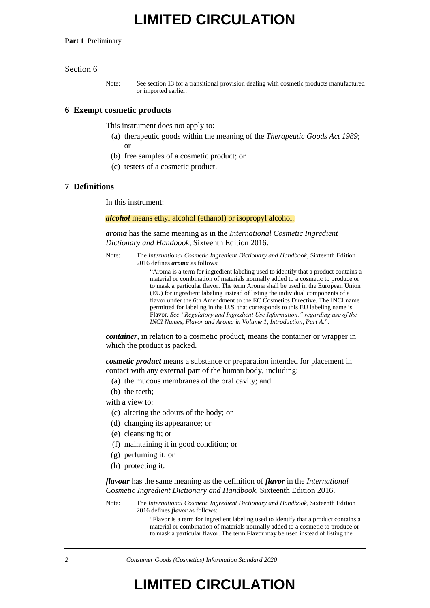**Part 1** Preliminary

#### Section 6

Note: See section 13 for a transitional provision dealing with cosmetic products manufactured or imported earlier.

#### **6 Exempt cosmetic products**

This instrument does not apply to:

- (a) therapeutic goods within the meaning of the *Therapeutic Goods Act 1989*; or
- (b) free samples of a cosmetic product; or
- (c) testers of a cosmetic product.

#### **7 Definitions**

In this instrument:

#### *alcohol* means ethyl alcohol (ethanol) or isopropyl alcohol.

*aroma* has the same meaning as in the *International Cosmetic Ingredient Dictionary and Handbook*, Sixteenth Edition 2016.

Note: The *International Cosmetic Ingredient Dictionary and Handbook*, Sixteenth Edition 2016 defines *aroma* as follows:

> "Aroma is a term for ingredient labeling used to identify that a product contains a material or combination of materials normally added to a cosmetic to produce or to mask a particular flavor. The term Aroma shall be used in the European Union (EU) for ingredient labeling instead of listing the individual components of a flavor under the 6th Amendment to the EC Cosmetics Directive. The INCI name permitted for labeling in the U.S. that corresponds to this EU labeling name is Flavor. *See "Regulatory and Ingredient Use Information," regarding use of the INCI Names, Flavor and Aroma in Volume 1, Introduction, Part A*.".

*container*, in relation to a cosmetic product, means the container or wrapper in which the product is packed.

*cosmetic product* means a substance or preparation intended for placement in contact with any external part of the human body, including:

- (a) the mucous membranes of the oral cavity; and
- (b) the teeth;
- with a view to:
	- (c) altering the odours of the body; or
	- (d) changing its appearance; or
	- (e) cleansing it; or
	- (f) maintaining it in good condition; or
	- (g) perfuming it; or
	- (h) protecting it.

*flavour* has the same meaning as the definition of *flavor* in the *International Cosmetic Ingredient Dictionary and Handbook*, Sixteenth Edition 2016.

Note: The *International Cosmetic Ingredient Dictionary and Handbook*, Sixteenth Edition 2016 defines *flavor* as follows:

> "Flavor is a term for ingredient labeling used to identify that a product contains a material or combination of materials normally added to a cosmetic to produce or to mask a particular flavor. The term Flavor may be used instead of listing the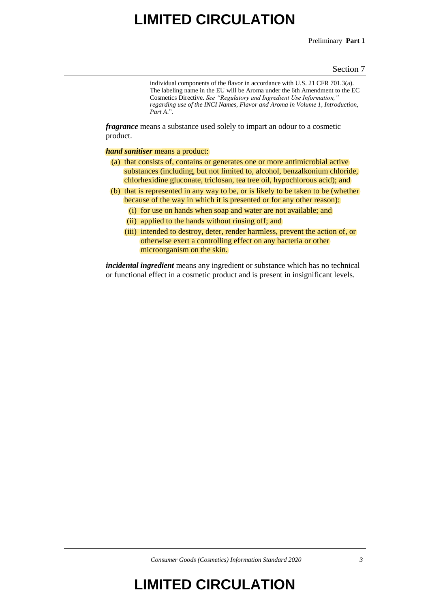Preliminary **Part 1**

#### Section 7

individual components of the flavor in accordance with U.S. 21 CFR 701.3(a). The labeling name in the EU will be Aroma under the 6th Amendment to the EC Cosmetics Directive. *See "Regulatory and Ingredient Use Information," regarding use of the INCI Names, Flavor and Aroma in Volume 1, Introduction, Part A*.".

*fragrance* means a substance used solely to impart an odour to a cosmetic product.

*hand sanitiser* means a product:

- (a) that consists of, contains or generates one or more antimicrobial active substances (including, but not limited to, alcohol, benzalkonium chloride, chlorhexidine gluconate, triclosan, tea tree oil, hypochlorous acid); and
- (b) that is represented in any way to be, or is likely to be taken to be (whether because of the way in which it is presented or for any other reason):
	- (i) for use on hands when soap and water are not available; and
	- (ii) applied to the hands without rinsing off; and
	- (iii) intended to destroy, deter, render harmless, prevent the action of, or otherwise exert a controlling effect on any bacteria or other microorganism on the skin.

*incidental ingredient* means any ingredient or substance which has no technical or functional effect in a cosmetic product and is present in insignificant levels.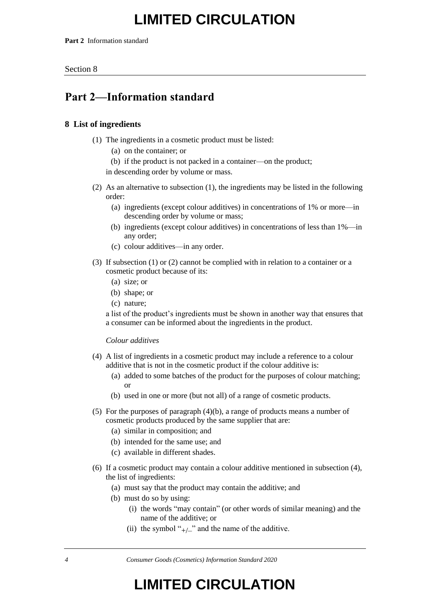**Part 2** Information standard

Section 8

## **Part 2—Information standard**

### **8 List of ingredients**

- (1) The ingredients in a cosmetic product must be listed:
	- (a) on the container; or
	- (b) if the product is not packed in a container—on the product;

in descending order by volume or mass.

- (2) As an alternative to subsection (1), the ingredients may be listed in the following order:
	- (a) ingredients (except colour additives) in concentrations of 1% or more—in descending order by volume or mass;
	- (b) ingredients (except colour additives) in concentrations of less than 1%—in any order;
	- (c) colour additives—in any order.
- (3) If subsection (1) or (2) cannot be complied with in relation to a container or a cosmetic product because of its:
	- (a) size; or
	- (b) shape; or
	- (c) nature;

a list of the product's ingredients must be shown in another way that ensures that a consumer can be informed about the ingredients in the product.

#### *Colour additives*

- (4) A list of ingredients in a cosmetic product may include a reference to a colour additive that is not in the cosmetic product if the colour additive is:
	- (a) added to some batches of the product for the purposes of colour matching; or
	- (b) used in one or more (but not all) of a range of cosmetic products.
- (5) For the purposes of paragraph (4)(b), a range of products means a number of cosmetic products produced by the same supplier that are:
	- (a) similar in composition; and
	- (b) intended for the same use; and
	- (c) available in different shades.
- (6) If a cosmetic product may contain a colour additive mentioned in subsection (4), the list of ingredients:
	- (a) must say that the product may contain the additive; and
	- (b) must do so by using:
		- (i) the words "may contain" (or other words of similar meaning) and the name of the additive; or
		- (ii) the symbol " $_{+/-}$ " and the name of the additive.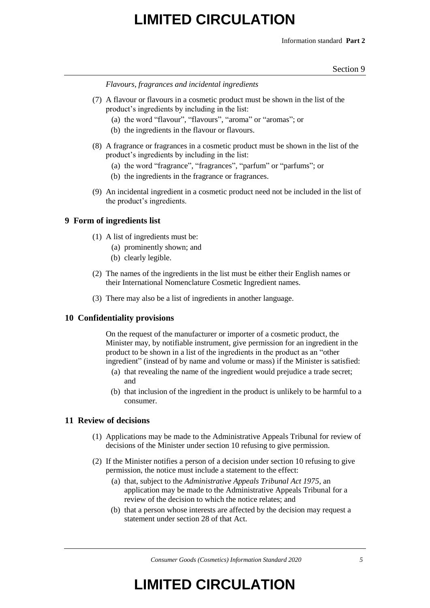Information standard **Part 2**

Section 9

*Flavours, fragrances and incidental ingredients*

- (7) A flavour or flavours in a cosmetic product must be shown in the list of the product's ingredients by including in the list:
	- (a) the word "flavour", "flavours", "aroma" or "aromas"; or
	- (b) the ingredients in the flavour or flavours.
- (8) A fragrance or fragrances in a cosmetic product must be shown in the list of the product's ingredients by including in the list:
	- (a) the word "fragrance", "fragrances", "parfum" or "parfums"; or
	- (b) the ingredients in the fragrance or fragrances.
- (9) An incidental ingredient in a cosmetic product need not be included in the list of the product's ingredients.

### **9 Form of ingredients list**

- (1) A list of ingredients must be:
	- (a) prominently shown; and
	- (b) clearly legible.
- (2) The names of the ingredients in the list must be either their English names or their International Nomenclature Cosmetic Ingredient names.
- (3) There may also be a list of ingredients in another language.

#### **10 Confidentiality provisions**

On the request of the manufacturer or importer of a cosmetic product, the Minister may, by notifiable instrument, give permission for an ingredient in the product to be shown in a list of the ingredients in the product as an "other ingredient" (instead of by name and volume or mass) if the Minister is satisfied:

- (a) that revealing the name of the ingredient would prejudice a trade secret; and
- (b) that inclusion of the ingredient in the product is unlikely to be harmful to a consumer.

#### **11 Review of decisions**

- (1) Applications may be made to the Administrative Appeals Tribunal for review of decisions of the Minister under section 10 refusing to give permission.
- (2) If the Minister notifies a person of a decision under section 10 refusing to give permission, the notice must include a statement to the effect:
	- (a) that, subject to the *Administrative Appeals Tribunal Act 1975*, an application may be made to the Administrative Appeals Tribunal for a review of the decision to which the notice relates; and
	- (b) that a person whose interests are affected by the decision may request a statement under section 28 of that Act.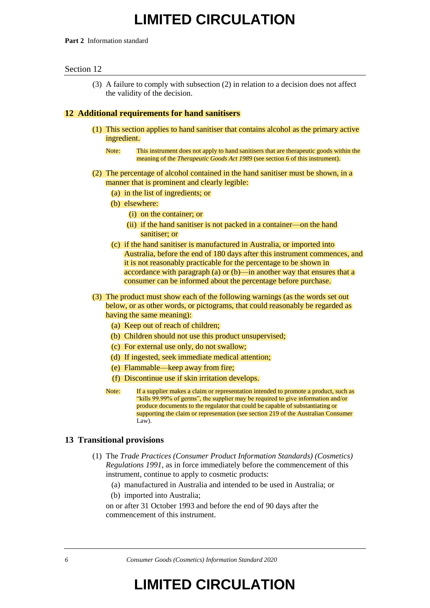#### **Part 2** Information standard

#### Section 12

(3) A failure to comply with subsection (2) in relation to a decision does not affect the validity of the decision.

#### **12 Additional requirements for hand sanitisers**

- (1) This section applies to hand sanitiser that contains alcohol as the primary active ingredient.
	- Note: This instrument does not apply to hand sanitisers that are therapeutic goods within the meaning of the *Therapeutic Goods Act 1989* (see section 6 of this instrument).
- (2) The percentage of alcohol contained in the hand sanitiser must be shown, in a manner that is prominent and clearly legible:
	- (a) in the list of ingredients; or
	- (b) elsewhere:
		- (i) on the container; or
		- (ii) if the hand sanitiser is not packed in a container—on the hand sanitiser; or
	- (c) if the hand sanitiser is manufactured in Australia, or imported into Australia, before the end of 180 days after this instrument commences, and it is not reasonably practicable for the percentage to be shown in accordance with paragraph (a) or (b)—in another way that ensures that a consumer can be informed about the percentage before purchase.
- (3) The product must show each of the following warnings (as the words set out below, or as other words, or pictograms, that could reasonably be regarded as having the same meaning):
	- (a) Keep out of reach of children;
	- (b) Children should not use this product unsupervised;
	- (c) For external use only, do not swallow;
	- (d) If ingested, seek immediate medical attention;
	- (e) Flammable—keep away from fire;
	- (f) Discontinue use if skin irritation develops.
	- Note: If a supplier makes a claim or representation intended to promote a product, such as "kills 99.99% of germs", the supplier may be required to give information and/or produce documents to the regulator that could be capable of substantiating or supporting the claim or representation (see section 219 of the Australian Consumer Law).

#### **13 Transitional provisions**

- (1) The *Trade Practices (Consumer Product Information Standards) (Cosmetics) Regulations 1991*, as in force immediately before the commencement of this instrument, continue to apply to cosmetic products:
	- (a) manufactured in Australia and intended to be used in Australia; or
	- (b) imported into Australia;

on or after 31 October 1993 and before the end of 90 days after the commencement of this instrument.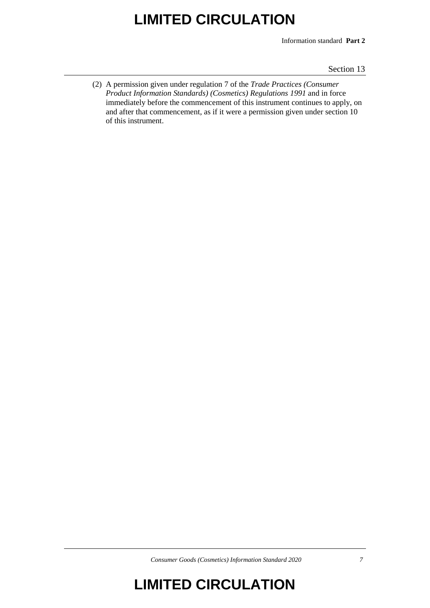Information standard **Part 2**

Section 13

(2) A permission given under regulation 7 of the *Trade Practices (Consumer Product Information Standards) (Cosmetics) Regulations 1991* and in force immediately before the commencement of this instrument continues to apply, on and after that commencement, as if it were a permission given under section 10 of this instrument.

*Consumer Goods (Cosmetics) Information Standard 2020 7*